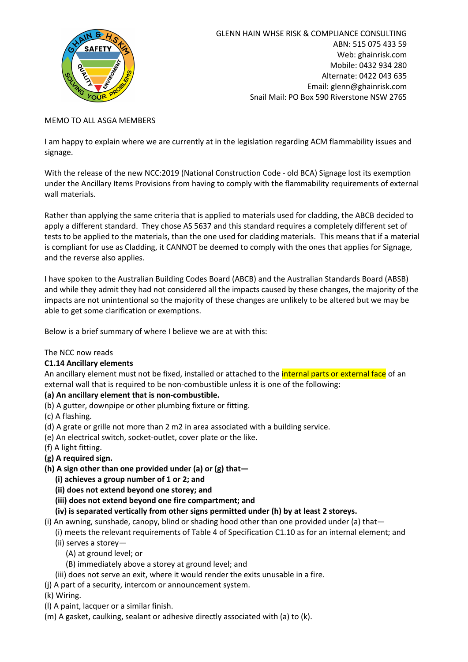

#### MEMO TO ALL ASGA MEMBERS

I am happy to explain where we are currently at in the legislation regarding ACM flammability issues and signage.

With the release of the new NCC:2019 (National Construction Code - old BCA) Signage lost its exemption under the Ancillary Items Provisions from having to comply with the flammability requirements of external wall materials.

Rather than applying the same criteria that is applied to materials used for cladding, the ABCB decided to apply a different standard. They chose AS 5637 and this standard requires a completely different set of tests to be applied to the materials, than the one used for cladding materials. This means that if a material is compliant for use as Cladding, it CANNOT be deemed to comply with the ones that applies for Signage, and the reverse also applies.

I have spoken to the Australian Building Codes Board (ABCB) and the Australian Standards Board (ABSB) and while they admit they had not considered all the impacts caused by these changes, the majority of the impacts are not unintentional so the majority of these changes are unlikely to be altered but we may be able to get some clarification or exemptions.

Below is a brief summary of where I believe we are at with this:

#### The NCC now reads

## C1.14 Ancillary elements

An ancillary element must not be fixed, installed or attached to the *internal parts or external face* of an external wall that is required to be non-combustible unless it is one of the following:

## (a) An ancillary element that is non-combustible.

- (b) A gutter, downpipe or other plumbing fixture or fitting.
- (c) A flashing.
- (d) A grate or grille not more than 2 m2 in area associated with a building service.
- (e) An electrical switch, socket-outlet, cover plate or the like.
- (f) A light fitting.
- (g) A required sign.
- (h) A sign other than one provided under (a) or (g) that—
	- (i) achieves a group number of 1 or 2; and
	- (ii) does not extend beyond one storey; and
	- (iii) does not extend beyond one fire compartment; and
	- (iv) is separated vertically from other signs permitted under (h) by at least 2 storeys.
- (i) An awning, sunshade, canopy, blind or shading hood other than one provided under (a) that—
	- (i) meets the relevant requirements of Table 4 of Specification C1.10 as for an internal element; and (ii) serves a storey—
		- (A) at ground level; or
		- (B) immediately above a storey at ground level; and
		- (iii) does not serve an exit, where it would render the exits unusable in a fire.
- (j) A part of a security, intercom or announcement system.
- (k) Wiring.
- (l) A paint, lacquer or a similar finish.
- (m) A gasket, caulking, sealant or adhesive directly associated with (a) to (k).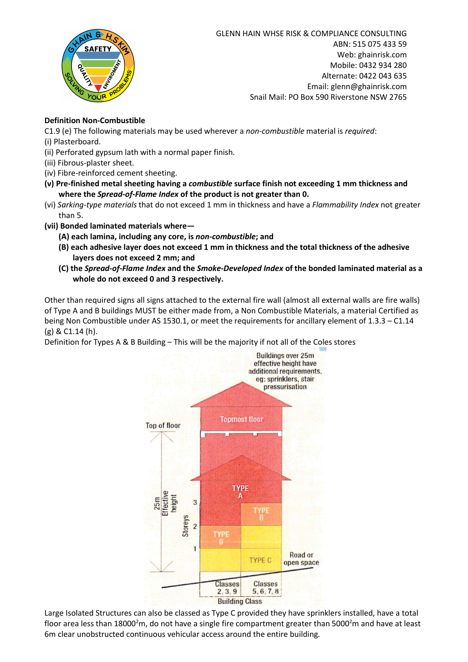

# Definition Non-Combustible

C1.9 (e) The following materials may be used wherever a *non-combustible* material is *required*:

- (i) Plasterboard.
- (ii) Perforated gypsum lath with a normal paper finish.
- (iii) Fibrous-plaster sheet.
- (iv) Fibre-reinforced cement sheeting.
- (v) Pre-finished metal sheeting having a *combustible* surface finish not exceeding 1 mm thickness and where the *Spread-of-Flame Index* of the product is not greater than 0.
- (vi) *Sarking-type materials* that do not exceed 1 mm in thickness and have a *Flammability Index* not greater than 5.
- (vii) Bonded laminated materials where—
	- (A) each lamina, including any core, is *non-combustible*; and
	- (B) each adhesive layer does not exceed 1 mm in thickness and the total thickness of the adhesive layers does not exceed 2 mm; and
	- (C) the *Spread-of-Flame Index* and the *Smoke-Developed Index* of the bonded laminated material as a whole do not exceed 0 and 3 respectively.

Other than required signs all signs attached to the external fire wall (almost all external walls are fire walls) of Type A and B buildings MUST be either made from, a Non Combustible Materials, a material Certified as being Non Combustible under AS 1530.1, or meet the requirements for ancillary element of 1.3.3 – C1.14 (g) & C1.14 (h).

Definition for Types A & B Building – This will be the majority if not all of the Coles stores



Large Isolated Structures can also be classed as Type C provided they have sprinklers installed, have a total floor area less than 18000<sup>2</sup>m, do not have a single fire compartment greater than 5000<sup>2</sup>m and have at least 6m clear unobstructed continuous vehicular access around the entire building.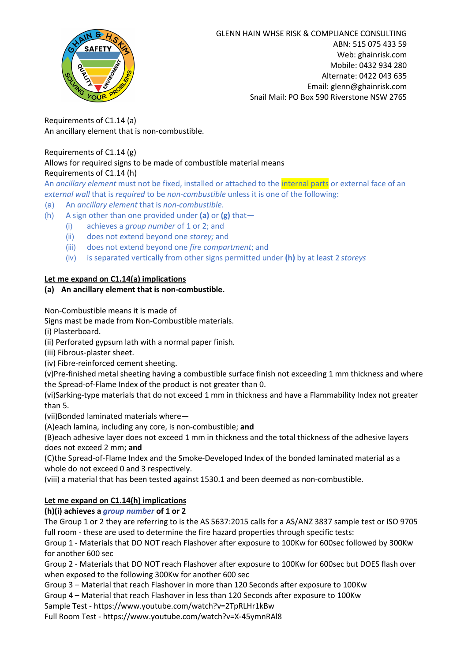

Requirements of C1.14 (a) An ancillary element that is non-combustible.

## Requirements of C1.14 (g) Allows for required signs to be made of combustible material means Requirements of C1.14 (h)

An *ancillary element* must not be fixed, installed or attached to the internal parts or external face of an *external wall* that is *required* to be *non-combustible* unless it is one of the following:

(a) An *ancillary element* that is *non-combustible*.

- (h) A sign other than one provided under (a) or  $(g)$  that-
	- (i) achieves a *group number* of 1 or 2; and
	- (ii) does not extend beyond one *storey;* and
	- (iii) does not extend beyond one *fire compartment*; and
	- (iv) is separated vertically from other signs permitted under (h) by at least 2 *storeys*

## Let me expand on C1.14(a) implications

## (a) An ancillary element that is non-combustible.

Non-Combustible means it is made of

Signs mast be made from Non-Combustible materials.

(i) Plasterboard.

(ii) Perforated gypsum lath with a normal paper finish.

(iii) Fibrous-plaster sheet.

(iv) Fibre-reinforced cement sheeting.

(v)Pre-finished metal sheeting having a combustible surface finish not exceeding 1 mm thickness and where the Spread-of-Flame Index of the product is not greater than 0.

(vi)Sarking-type materials that do not exceed 1 mm in thickness and have a Flammability Index not greater than 5.

(vii)Bonded laminated materials where—

(A)each lamina, including any core, is non-combustible; and

(B)each adhesive layer does not exceed 1 mm in thickness and the total thickness of the adhesive layers does not exceed 2 mm; and

(C)the Spread-of-Flame Index and the Smoke-Developed Index of the bonded laminated material as a whole do not exceed 0 and 3 respectively.

(viii) a material that has been tested against 1530.1 and been deemed as non-combustible.

## Let me expand on C1.14(h) implications

## (h)(i) achieves a *group number* of 1 or 2

The Group 1 or 2 they are referring to is the AS 5637:2015 calls for a AS/ANZ 3837 sample test or ISO 9705 full room - these are used to determine the fire hazard properties through specific tests:

Group 1 - Materials that DO NOT reach Flashover after exposure to 100Kw for 600sec followed by 300Kw for another 600 sec

Group 2 - Materials that DO NOT reach Flashover after exposure to 100Kw for 600sec but DOES flash over when exposed to the following 300Kw for another 600 sec

Group 3 – Material that reach Flashover in more than 120 Seconds after exposure to 100Kw

Group 4 – Material that reach Flashover in less than 120 Seconds after exposure to 100Kw

Sample Test - https://www.youtube.com/watch?v=2TpRLHr1kBw

Full Room Test - https://www.youtube.com/watch?v=X-45ymnRAl8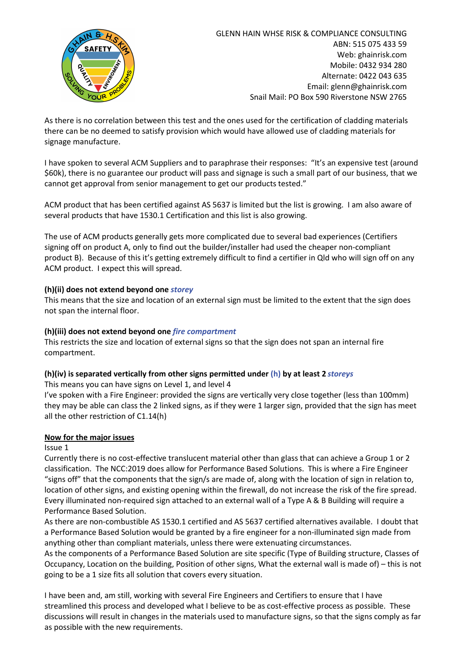

As there is no correlation between this test and the ones used for the certification of cladding materials there can be no deemed to satisfy provision which would have allowed use of cladding materials for signage manufacture.

I have spoken to several ACM Suppliers and to paraphrase their responses: "It's an expensive test (around \$60k), there is no guarantee our product will pass and signage is such a small part of our business, that we cannot get approval from senior management to get our products tested."

ACM product that has been certified against AS 5637 is limited but the list is growing. I am also aware of several products that have 1530.1 Certification and this list is also growing.

The use of ACM products generally gets more complicated due to several bad experiences (Certifiers signing off on product A, only to find out the builder/installer had used the cheaper non-compliant product B). Because of this it's getting extremely difficult to find a certifier in Qld who will sign off on any ACM product. I expect this will spread.

## (h)(ii) does not extend beyond one *storey*

This means that the size and location of an external sign must be limited to the extent that the sign does not span the internal floor.

#### (h)(iii) does not extend beyond one *fire compartment*

This restricts the size and location of external signs so that the sign does not span an internal fire compartment.

#### (h)(iv) is separated vertically from other signs permitted under (h) by at least 2 *storeys*

This means you can have signs on Level 1, and level 4

I've spoken with a Fire Engineer: provided the signs are vertically very close together (less than 100mm) they may be able can class the 2 linked signs, as if they were 1 larger sign, provided that the sign has meet all the other restriction of C1.14(h)

#### Now for the major issues

#### Issue 1

Currently there is no cost-effective translucent material other than glass that can achieve a Group 1 or 2 classification. The NCC:2019 does allow for Performance Based Solutions. This is where a Fire Engineer "signs off" that the components that the sign/s are made of, along with the location of sign in relation to, location of other signs, and existing opening within the firewall, do not increase the risk of the fire spread. Every illuminated non-required sign attached to an external wall of a Type A & B Building will require a Performance Based Solution.

As there are non-combustible AS 1530.1 certified and AS 5637 certified alternatives available. I doubt that a Performance Based Solution would be granted by a fire engineer for a non-illuminated sign made from anything other than compliant materials, unless there were extenuating circumstances.

As the components of a Performance Based Solution are site specific (Type of Building structure, Classes of Occupancy, Location on the building, Position of other signs, What the external wall is made of) – this is not going to be a 1 size fits all solution that covers every situation.

I have been and, am still, working with several Fire Engineers and Certifiers to ensure that I have streamlined this process and developed what I believe to be as cost-effective process as possible. These discussions will result in changes in the materials used to manufacture signs, so that the signs comply as far as possible with the new requirements.